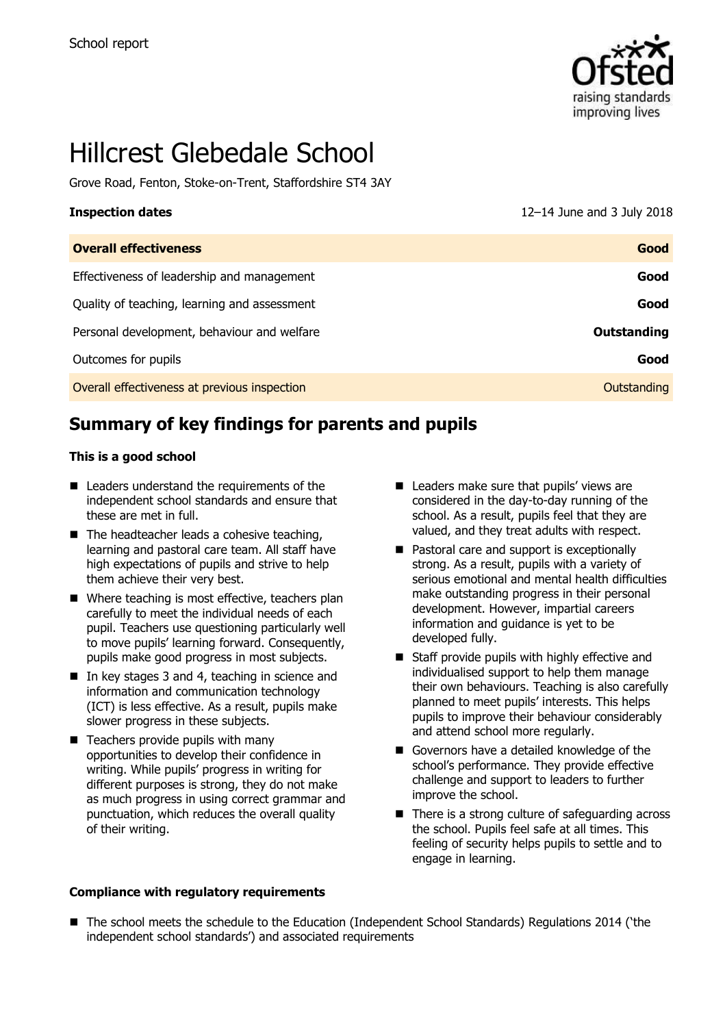

# Hillcrest Glebedale School

Grove Road, Fenton, Stoke-on-Trent, Staffordshire ST4 3AY

| <b>Inspection dates</b>                      | 12-14 June and 3 July 2018 |
|----------------------------------------------|----------------------------|
| <b>Overall effectiveness</b>                 | Good                       |
| Effectiveness of leadership and management   | Good                       |
| Quality of teaching, learning and assessment | Good                       |
| Personal development, behaviour and welfare  | Outstanding                |
| Outcomes for pupils                          | Good                       |
| Overall effectiveness at previous inspection | Outstanding                |

## **Summary of key findings for parents and pupils**

#### **This is a good school**

- Leaders understand the requirements of the independent school standards and ensure that these are met in full.
- $\blacksquare$  The headteacher leads a cohesive teaching, learning and pastoral care team. All staff have high expectations of pupils and strive to help them achieve their very best.
- Where teaching is most effective, teachers plan carefully to meet the individual needs of each pupil. Teachers use questioning particularly well to move pupils' learning forward. Consequently, pupils make good progress in most subjects.
- In key stages 3 and 4, teaching in science and information and communication technology (ICT) is less effective. As a result, pupils make slower progress in these subjects.
- $\blacksquare$  Teachers provide pupils with many opportunities to develop their confidence in writing. While pupils' progress in writing for different purposes is strong, they do not make as much progress in using correct grammar and punctuation, which reduces the overall quality of their writing.
- **Compliance with regulatory requirements**
- Leaders make sure that pupils' views are considered in the day-to-day running of the school. As a result, pupils feel that they are valued, and they treat adults with respect.
- Pastoral care and support is exceptionally strong. As a result, pupils with a variety of serious emotional and mental health difficulties make outstanding progress in their personal development. However, impartial careers information and guidance is yet to be developed fully.
- Staff provide pupils with highly effective and individualised support to help them manage their own behaviours. Teaching is also carefully planned to meet pupils' interests. This helps pupils to improve their behaviour considerably and attend school more regularly.
- Governors have a detailed knowledge of the school's performance. They provide effective challenge and support to leaders to further improve the school.
- There is a strong culture of safeguarding across the school. Pupils feel safe at all times. This feeling of security helps pupils to settle and to engage in learning.
- The school meets the schedule to the Education (Independent School Standards) Regulations 2014 ('the independent school standards') and associated requirements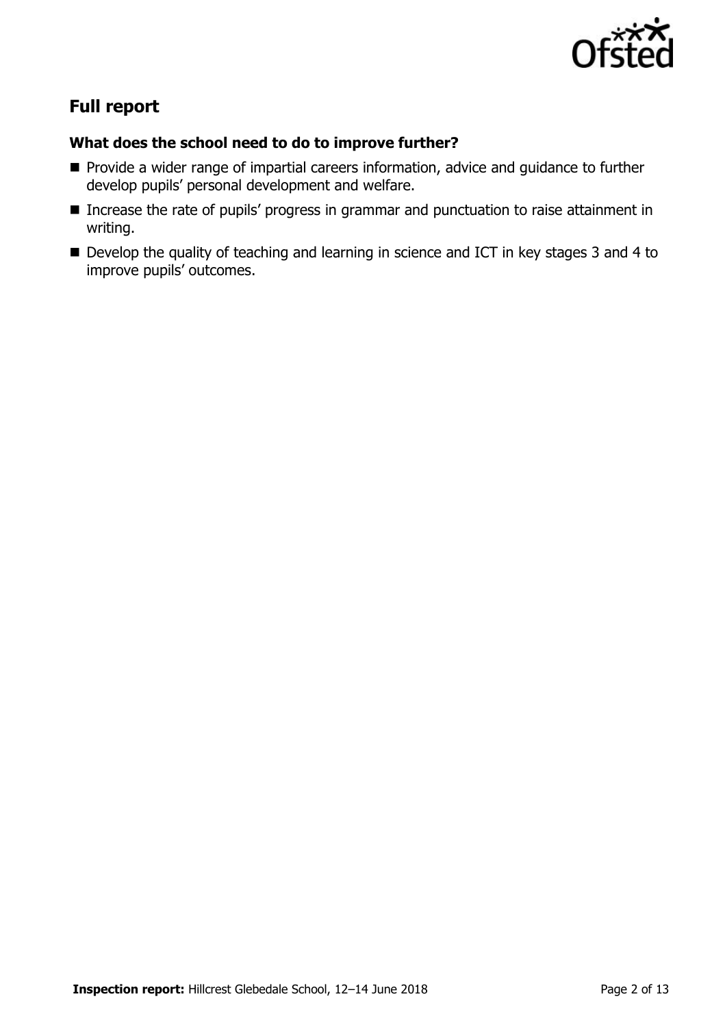

# **Full report**

#### **What does the school need to do to improve further?**

- **Provide a wider range of impartial careers information, advice and guidance to further** develop pupils' personal development and welfare.
- Increase the rate of pupils' progress in grammar and punctuation to raise attainment in writing.
- Develop the quality of teaching and learning in science and ICT in key stages 3 and 4 to improve pupils' outcomes.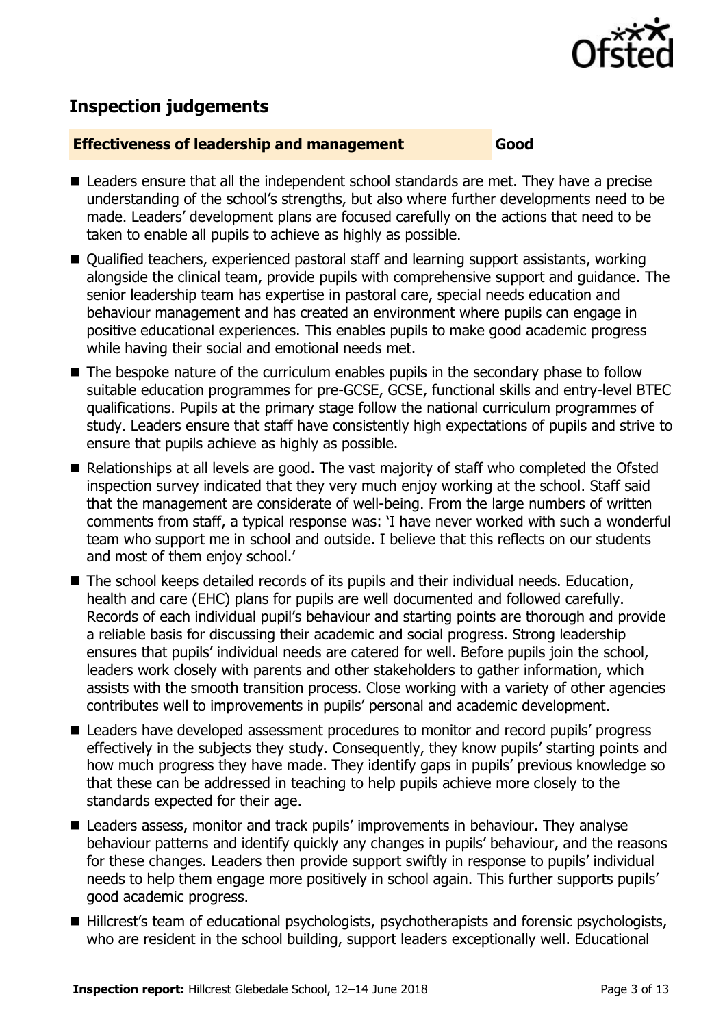

# **Inspection judgements**

#### **Effectiveness of leadership and management Good**

- Leaders ensure that all the independent school standards are met. They have a precise understanding of the school's strengths, but also where further developments need to be made. Leaders' development plans are focused carefully on the actions that need to be taken to enable all pupils to achieve as highly as possible.
- Qualified teachers, experienced pastoral staff and learning support assistants, working alongside the clinical team, provide pupils with comprehensive support and guidance. The senior leadership team has expertise in pastoral care, special needs education and behaviour management and has created an environment where pupils can engage in positive educational experiences. This enables pupils to make good academic progress while having their social and emotional needs met.
- The bespoke nature of the curriculum enables pupils in the secondary phase to follow suitable education programmes for pre-GCSE, GCSE, functional skills and entry-level BTEC qualifications. Pupils at the primary stage follow the national curriculum programmes of study. Leaders ensure that staff have consistently high expectations of pupils and strive to ensure that pupils achieve as highly as possible.
- Relationships at all levels are good. The vast majority of staff who completed the Ofsted inspection survey indicated that they very much enjoy working at the school. Staff said that the management are considerate of well-being. From the large numbers of written comments from staff, a typical response was: 'I have never worked with such a wonderful team who support me in school and outside. I believe that this reflects on our students and most of them enjoy school.'
- The school keeps detailed records of its pupils and their individual needs. Education, health and care (EHC) plans for pupils are well documented and followed carefully. Records of each individual pupil's behaviour and starting points are thorough and provide a reliable basis for discussing their academic and social progress. Strong leadership ensures that pupils' individual needs are catered for well. Before pupils join the school, leaders work closely with parents and other stakeholders to gather information, which assists with the smooth transition process. Close working with a variety of other agencies contributes well to improvements in pupils' personal and academic development.
- Leaders have developed assessment procedures to monitor and record pupils' progress effectively in the subjects they study. Consequently, they know pupils' starting points and how much progress they have made. They identify gaps in pupils' previous knowledge so that these can be addressed in teaching to help pupils achieve more closely to the standards expected for their age.
- Leaders assess, monitor and track pupils' improvements in behaviour. They analyse behaviour patterns and identify quickly any changes in pupils' behaviour, and the reasons for these changes. Leaders then provide support swiftly in response to pupils' individual needs to help them engage more positively in school again. This further supports pupils' good academic progress.
- Hillcrest's team of educational psychologists, psychotherapists and forensic psychologists, who are resident in the school building, support leaders exceptionally well. Educational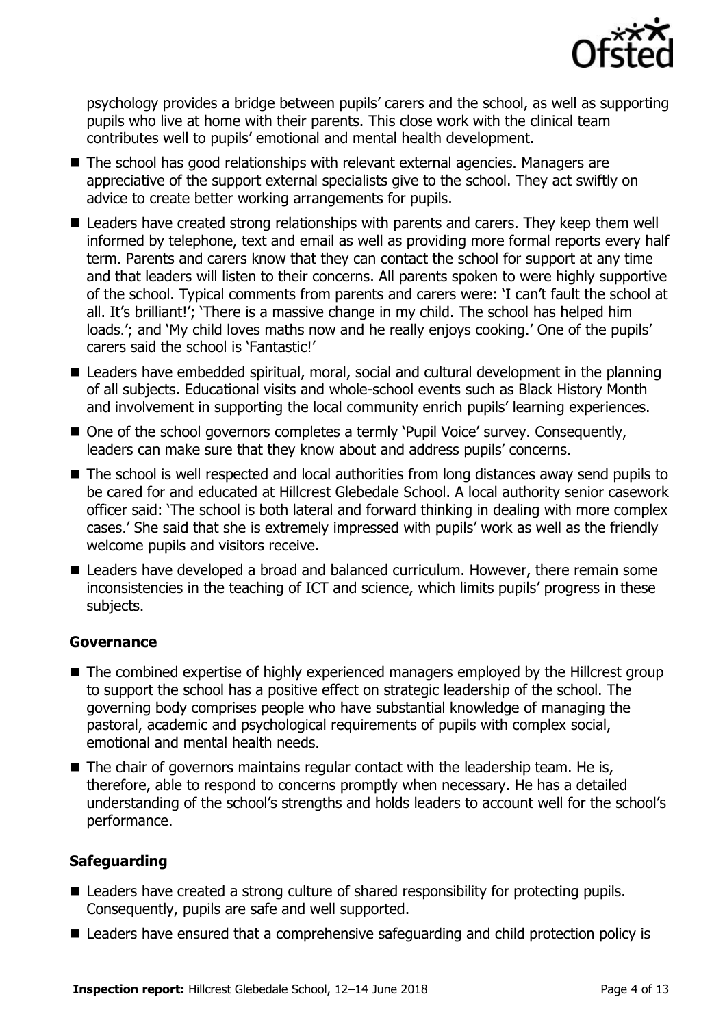

psychology provides a bridge between pupils' carers and the school, as well as supporting pupils who live at home with their parents. This close work with the clinical team contributes well to pupils' emotional and mental health development.

- The school has good relationships with relevant external agencies. Managers are appreciative of the support external specialists give to the school. They act swiftly on advice to create better working arrangements for pupils.
- Leaders have created strong relationships with parents and carers. They keep them well informed by telephone, text and email as well as providing more formal reports every half term. Parents and carers know that they can contact the school for support at any time and that leaders will listen to their concerns. All parents spoken to were highly supportive of the school. Typical comments from parents and carers were: 'I can't fault the school at all. It's brilliant!'; 'There is a massive change in my child. The school has helped him loads.'; and 'My child loves maths now and he really enjoys cooking.' One of the pupils' carers said the school is 'Fantastic!'
- Leaders have embedded spiritual, moral, social and cultural development in the planning of all subjects. Educational visits and whole-school events such as Black History Month and involvement in supporting the local community enrich pupils' learning experiences.
- One of the school governors completes a termly 'Pupil Voice' survey. Consequently, leaders can make sure that they know about and address pupils' concerns.
- The school is well respected and local authorities from long distances away send pupils to be cared for and educated at Hillcrest Glebedale School. A local authority senior casework officer said: 'The school is both lateral and forward thinking in dealing with more complex cases.' She said that she is extremely impressed with pupils' work as well as the friendly welcome pupils and visitors receive.
- Leaders have developed a broad and balanced curriculum. However, there remain some inconsistencies in the teaching of ICT and science, which limits pupils' progress in these subjects.

#### **Governance**

- The combined expertise of highly experienced managers employed by the Hillcrest group to support the school has a positive effect on strategic leadership of the school. The governing body comprises people who have substantial knowledge of managing the pastoral, academic and psychological requirements of pupils with complex social, emotional and mental health needs.
- $\blacksquare$  The chair of governors maintains regular contact with the leadership team. He is, therefore, able to respond to concerns promptly when necessary. He has a detailed understanding of the school's strengths and holds leaders to account well for the school's performance.

#### **Safeguarding**

- Leaders have created a strong culture of shared responsibility for protecting pupils. Consequently, pupils are safe and well supported.
- Leaders have ensured that a comprehensive safeguarding and child protection policy is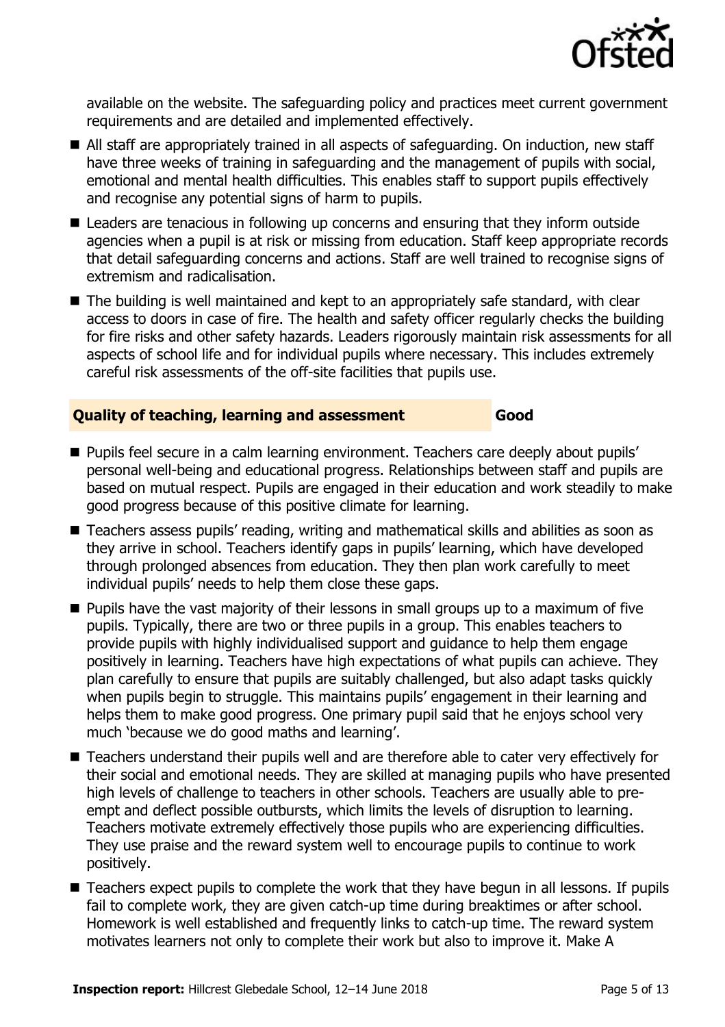

available on the website. The safeguarding policy and practices meet current government requirements and are detailed and implemented effectively.

- All staff are appropriately trained in all aspects of safeguarding. On induction, new staff have three weeks of training in safeguarding and the management of pupils with social, emotional and mental health difficulties. This enables staff to support pupils effectively and recognise any potential signs of harm to pupils.
- Leaders are tenacious in following up concerns and ensuring that they inform outside agencies when a pupil is at risk or missing from education. Staff keep appropriate records that detail safeguarding concerns and actions. Staff are well trained to recognise signs of extremism and radicalisation.
- The building is well maintained and kept to an appropriately safe standard, with clear access to doors in case of fire. The health and safety officer regularly checks the building for fire risks and other safety hazards. Leaders rigorously maintain risk assessments for all aspects of school life and for individual pupils where necessary. This includes extremely careful risk assessments of the off-site facilities that pupils use.

#### **Quality of teaching, learning and assessment Good**

- **Pupils feel secure in a calm learning environment. Teachers care deeply about pupils'** personal well-being and educational progress. Relationships between staff and pupils are based on mutual respect. Pupils are engaged in their education and work steadily to make good progress because of this positive climate for learning.
- Teachers assess pupils' reading, writing and mathematical skills and abilities as soon as they arrive in school. Teachers identify gaps in pupils' learning, which have developed through prolonged absences from education. They then plan work carefully to meet individual pupils' needs to help them close these gaps.
- **Pupils have the vast majority of their lessons in small groups up to a maximum of five** pupils. Typically, there are two or three pupils in a group. This enables teachers to provide pupils with highly individualised support and guidance to help them engage positively in learning. Teachers have high expectations of what pupils can achieve. They plan carefully to ensure that pupils are suitably challenged, but also adapt tasks quickly when pupils begin to struggle. This maintains pupils' engagement in their learning and helps them to make good progress. One primary pupil said that he enjoys school very much 'because we do good maths and learning'.
- Teachers understand their pupils well and are therefore able to cater very effectively for their social and emotional needs. They are skilled at managing pupils who have presented high levels of challenge to teachers in other schools. Teachers are usually able to preempt and deflect possible outbursts, which limits the levels of disruption to learning. Teachers motivate extremely effectively those pupils who are experiencing difficulties. They use praise and the reward system well to encourage pupils to continue to work positively.
- Teachers expect pupils to complete the work that they have begun in all lessons. If pupils fail to complete work, they are given catch-up time during breaktimes or after school. Homework is well established and frequently links to catch-up time. The reward system motivates learners not only to complete their work but also to improve it. Make A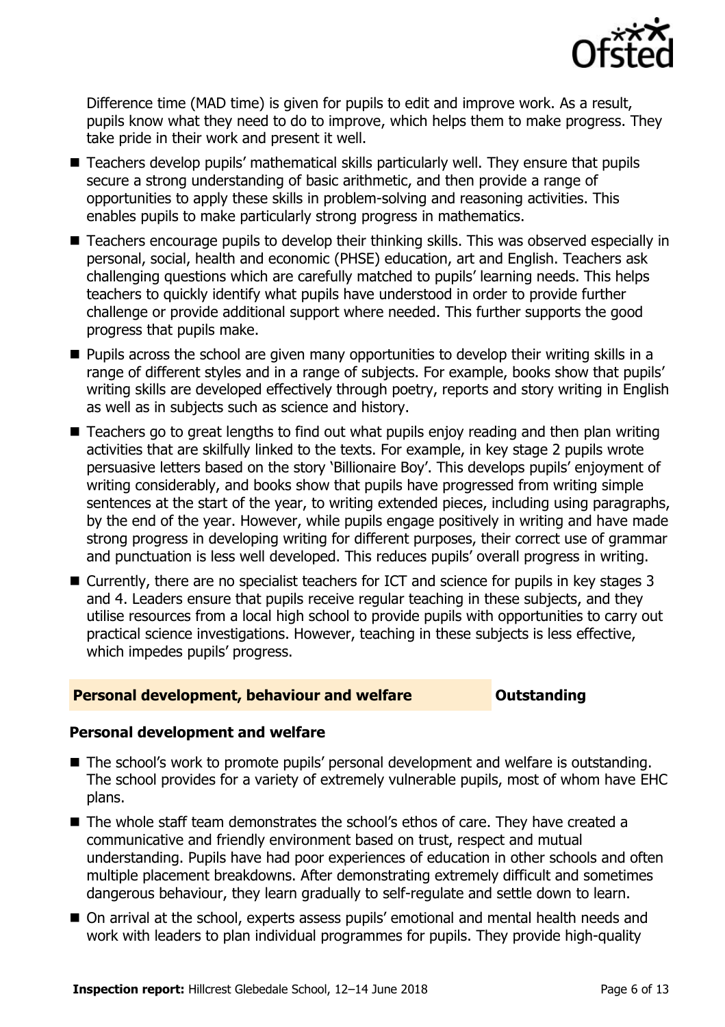

Difference time (MAD time) is given for pupils to edit and improve work. As a result, pupils know what they need to do to improve, which helps them to make progress. They take pride in their work and present it well.

- Teachers develop pupils' mathematical skills particularly well. They ensure that pupils secure a strong understanding of basic arithmetic, and then provide a range of opportunities to apply these skills in problem-solving and reasoning activities. This enables pupils to make particularly strong progress in mathematics.
- Teachers encourage pupils to develop their thinking skills. This was observed especially in personal, social, health and economic (PHSE) education, art and English. Teachers ask challenging questions which are carefully matched to pupils' learning needs. This helps teachers to quickly identify what pupils have understood in order to provide further challenge or provide additional support where needed. This further supports the good progress that pupils make.
- **Pupils across the school are given many opportunities to develop their writing skills in a** range of different styles and in a range of subjects. For example, books show that pupils' writing skills are developed effectively through poetry, reports and story writing in English as well as in subjects such as science and history.
- Teachers go to great lengths to find out what pupils enjoy reading and then plan writing activities that are skilfully linked to the texts. For example, in key stage 2 pupils wrote persuasive letters based on the story 'Billionaire Boy'. This develops pupils' enjoyment of writing considerably, and books show that pupils have progressed from writing simple sentences at the start of the year, to writing extended pieces, including using paragraphs, by the end of the year. However, while pupils engage positively in writing and have made strong progress in developing writing for different purposes, their correct use of grammar and punctuation is less well developed. This reduces pupils' overall progress in writing.
- Currently, there are no specialist teachers for ICT and science for pupils in key stages 3 and 4. Leaders ensure that pupils receive regular teaching in these subjects, and they utilise resources from a local high school to provide pupils with opportunities to carry out practical science investigations. However, teaching in these subjects is less effective, which impedes pupils' progress.

#### **Personal development, behaviour and welfare <b>COU COULDER** Outstanding

#### **Personal development and welfare**

- The school's work to promote pupils' personal development and welfare is outstanding. The school provides for a variety of extremely vulnerable pupils, most of whom have EHC plans.
- The whole staff team demonstrates the school's ethos of care. They have created a communicative and friendly environment based on trust, respect and mutual understanding. Pupils have had poor experiences of education in other schools and often multiple placement breakdowns. After demonstrating extremely difficult and sometimes dangerous behaviour, they learn gradually to self-regulate and settle down to learn.
- On arrival at the school, experts assess pupils' emotional and mental health needs and work with leaders to plan individual programmes for pupils. They provide high-quality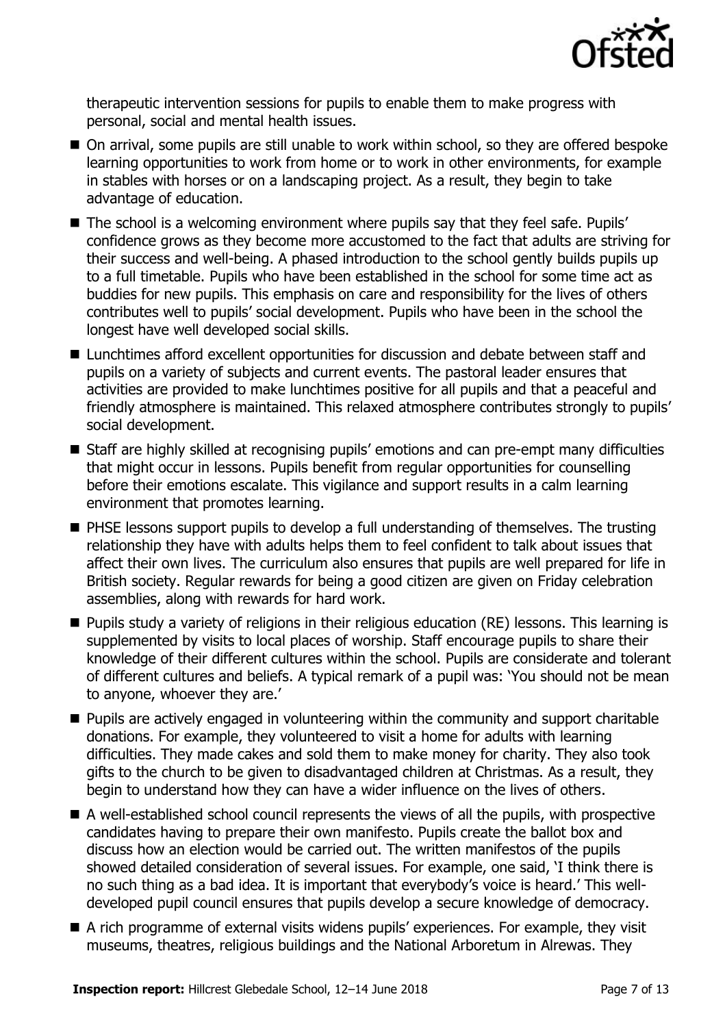

therapeutic intervention sessions for pupils to enable them to make progress with personal, social and mental health issues.

- On arrival, some pupils are still unable to work within school, so they are offered bespoke learning opportunities to work from home or to work in other environments, for example in stables with horses or on a landscaping project. As a result, they begin to take advantage of education.
- The school is a welcoming environment where pupils say that they feel safe. Pupils' confidence grows as they become more accustomed to the fact that adults are striving for their success and well-being. A phased introduction to the school gently builds pupils up to a full timetable. Pupils who have been established in the school for some time act as buddies for new pupils. This emphasis on care and responsibility for the lives of others contributes well to pupils' social development. Pupils who have been in the school the longest have well developed social skills.
- Lunchtimes afford excellent opportunities for discussion and debate between staff and pupils on a variety of subjects and current events. The pastoral leader ensures that activities are provided to make lunchtimes positive for all pupils and that a peaceful and friendly atmosphere is maintained. This relaxed atmosphere contributes strongly to pupils' social development.
- Staff are highly skilled at recognising pupils' emotions and can pre-empt many difficulties that might occur in lessons. Pupils benefit from regular opportunities for counselling before their emotions escalate. This vigilance and support results in a calm learning environment that promotes learning.
- **PHSE lessons support pupils to develop a full understanding of themselves. The trusting** relationship they have with adults helps them to feel confident to talk about issues that affect their own lives. The curriculum also ensures that pupils are well prepared for life in British society. Regular rewards for being a good citizen are given on Friday celebration assemblies, along with rewards for hard work.
- Pupils study a variety of religions in their religious education (RE) lessons. This learning is supplemented by visits to local places of worship. Staff encourage pupils to share their knowledge of their different cultures within the school. Pupils are considerate and tolerant of different cultures and beliefs. A typical remark of a pupil was: 'You should not be mean to anyone, whoever they are.'
- **Pupils are actively engaged in volunteering within the community and support charitable** donations. For example, they volunteered to visit a home for adults with learning difficulties. They made cakes and sold them to make money for charity. They also took gifts to the church to be given to disadvantaged children at Christmas. As a result, they begin to understand how they can have a wider influence on the lives of others.
- A well-established school council represents the views of all the pupils, with prospective candidates having to prepare their own manifesto. Pupils create the ballot box and discuss how an election would be carried out. The written manifestos of the pupils showed detailed consideration of several issues. For example, one said, 'I think there is no such thing as a bad idea. It is important that everybody's voice is heard.' This welldeveloped pupil council ensures that pupils develop a secure knowledge of democracy.
- A rich programme of external visits widens pupils' experiences. For example, they visit museums, theatres, religious buildings and the National Arboretum in Alrewas. They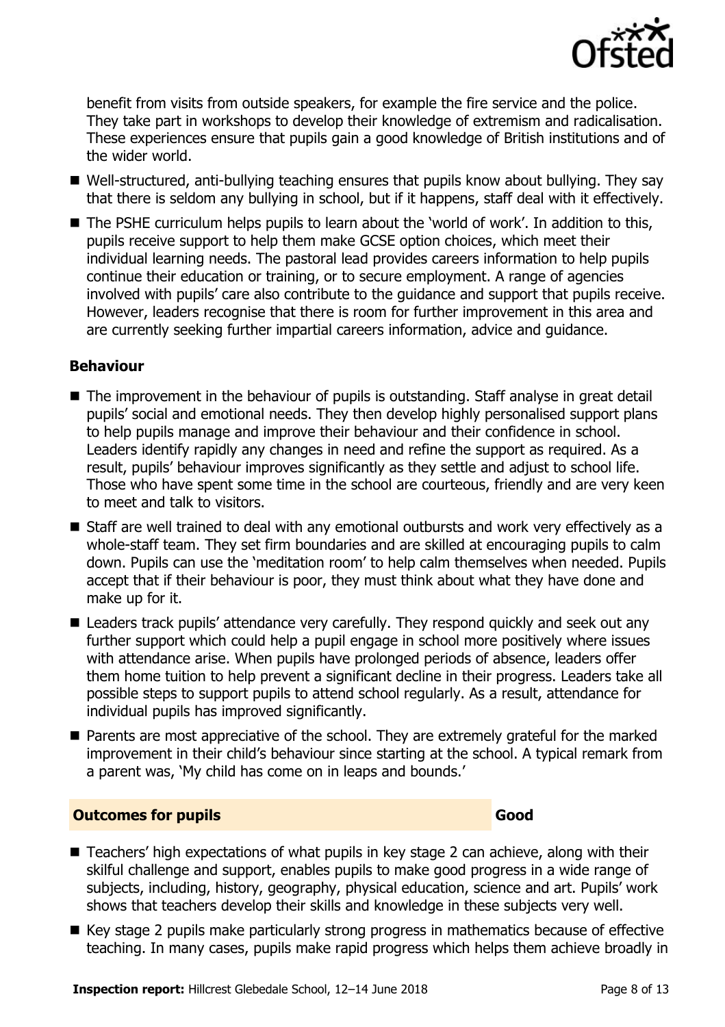

benefit from visits from outside speakers, for example the fire service and the police. They take part in workshops to develop their knowledge of extremism and radicalisation. These experiences ensure that pupils gain a good knowledge of British institutions and of the wider world.

- Well-structured, anti-bullying teaching ensures that pupils know about bullying. They say that there is seldom any bullying in school, but if it happens, staff deal with it effectively.
- The PSHE curriculum helps pupils to learn about the 'world of work'. In addition to this, pupils receive support to help them make GCSE option choices, which meet their individual learning needs. The pastoral lead provides careers information to help pupils continue their education or training, or to secure employment. A range of agencies involved with pupils' care also contribute to the guidance and support that pupils receive. However, leaders recognise that there is room for further improvement in this area and are currently seeking further impartial careers information, advice and guidance.

### **Behaviour**

- The improvement in the behaviour of pupils is outstanding. Staff analyse in great detail pupils' social and emotional needs. They then develop highly personalised support plans to help pupils manage and improve their behaviour and their confidence in school. Leaders identify rapidly any changes in need and refine the support as required. As a result, pupils' behaviour improves significantly as they settle and adjust to school life. Those who have spent some time in the school are courteous, friendly and are very keen to meet and talk to visitors.
- Staff are well trained to deal with any emotional outbursts and work very effectively as a whole-staff team. They set firm boundaries and are skilled at encouraging pupils to calm down. Pupils can use the 'meditation room' to help calm themselves when needed. Pupils accept that if their behaviour is poor, they must think about what they have done and make up for it.
- Leaders track pupils' attendance very carefully. They respond quickly and seek out any further support which could help a pupil engage in school more positively where issues with attendance arise. When pupils have prolonged periods of absence, leaders offer them home tuition to help prevent a significant decline in their progress. Leaders take all possible steps to support pupils to attend school regularly. As a result, attendance for individual pupils has improved significantly.
- **Parents are most appreciative of the school. They are extremely grateful for the marked** improvement in their child's behaviour since starting at the school. A typical remark from a parent was, 'My child has come on in leaps and bounds.'

#### **Outcomes for pupils Good**

- Teachers' high expectations of what pupils in key stage 2 can achieve, along with their skilful challenge and support, enables pupils to make good progress in a wide range of subjects, including, history, geography, physical education, science and art. Pupils' work shows that teachers develop their skills and knowledge in these subjects very well.
- Key stage 2 pupils make particularly strong progress in mathematics because of effective teaching. In many cases, pupils make rapid progress which helps them achieve broadly in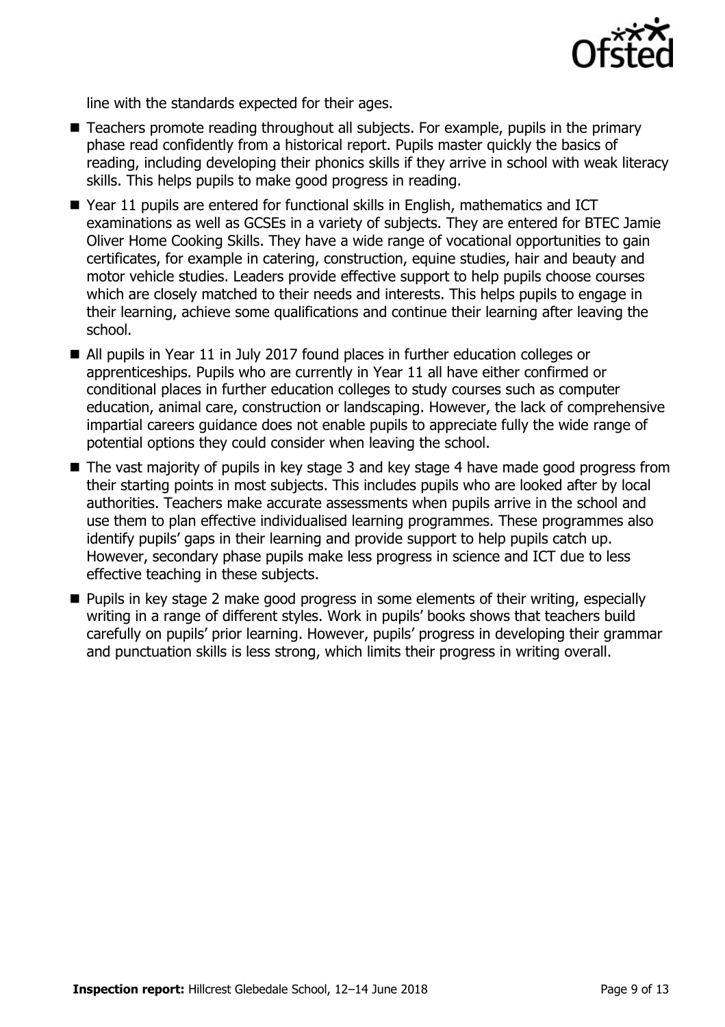

line with the standards expected for their ages.

- Teachers promote reading throughout all subjects. For example, pupils in the primary phase read confidently from a historical report. Pupils master quickly the basics of reading, including developing their phonics skills if they arrive in school with weak literacy skills. This helps pupils to make good progress in reading.
- Year 11 pupils are entered for functional skills in English, mathematics and ICT examinations as well as GCSEs in a variety of subjects. They are entered for BTEC Jamie Oliver Home Cooking Skills. They have a wide range of vocational opportunities to gain certificates, for example in catering, construction, equine studies, hair and beauty and motor vehicle studies. Leaders provide effective support to help pupils choose courses which are closely matched to their needs and interests. This helps pupils to engage in their learning, achieve some qualifications and continue their learning after leaving the school.
- All pupils in Year 11 in July 2017 found places in further education colleges or apprenticeships. Pupils who are currently in Year 11 all have either confirmed or conditional places in further education colleges to study courses such as computer education, animal care, construction or landscaping. However, the lack of comprehensive impartial careers guidance does not enable pupils to appreciate fully the wide range of potential options they could consider when leaving the school.
- The vast majority of pupils in key stage 3 and key stage 4 have made good progress from their starting points in most subjects. This includes pupils who are looked after by local authorities. Teachers make accurate assessments when pupils arrive in the school and use them to plan effective individualised learning programmes. These programmes also identify pupils' gaps in their learning and provide support to help pupils catch up. However, secondary phase pupils make less progress in science and ICT due to less effective teaching in these subjects.
- **Pupils in key stage 2 make good progress in some elements of their writing, especially** writing in a range of different styles. Work in pupils' books shows that teachers build carefully on pupils' prior learning. However, pupils' progress in developing their grammar and punctuation skills is less strong, which limits their progress in writing overall.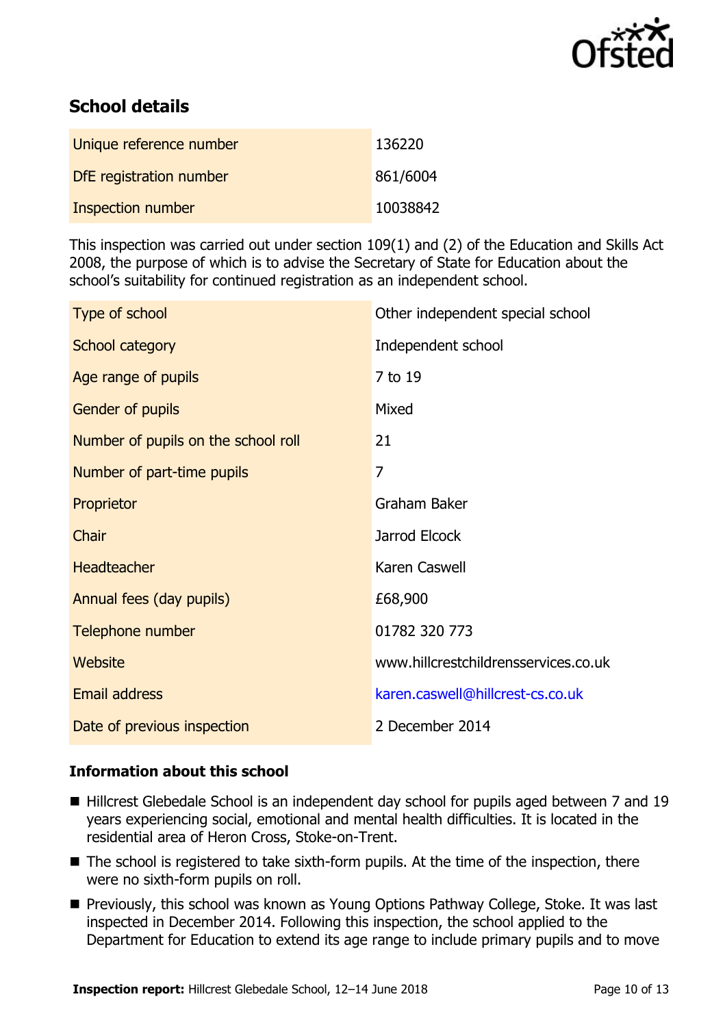

# **School details**

| Unique reference number | 136220   |
|-------------------------|----------|
| DfE registration number | 861/6004 |
| Inspection number       | 10038842 |

This inspection was carried out under section 109(1) and (2) of the Education and Skills Act 2008, the purpose of which is to advise the Secretary of State for Education about the school's suitability for continued registration as an independent school.

| Type of school                      | Other independent special school     |
|-------------------------------------|--------------------------------------|
| School category                     | Independent school                   |
| Age range of pupils                 | 7 to 19                              |
| Gender of pupils                    | Mixed                                |
| Number of pupils on the school roll | 21                                   |
| Number of part-time pupils          | $\overline{7}$                       |
| Proprietor                          | Graham Baker                         |
| Chair                               | Jarrod Elcock                        |
| <b>Headteacher</b>                  | Karen Caswell                        |
| Annual fees (day pupils)            | £68,900                              |
| Telephone number                    | 01782 320 773                        |
| Website                             | www.hillcrestchildrensservices.co.uk |
| Email address                       | karen.caswell@hillcrest-cs.co.uk     |
| Date of previous inspection         | 2 December 2014                      |

#### **Information about this school**

- Hillcrest Glebedale School is an independent day school for pupils aged between 7 and 19 years experiencing social, emotional and mental health difficulties. It is located in the residential area of Heron Cross, Stoke-on-Trent.
- The school is registered to take sixth-form pupils. At the time of the inspection, there were no sixth-form pupils on roll.
- **Previously, this school was known as Young Options Pathway College, Stoke. It was last** inspected in December 2014. Following this inspection, the school applied to the Department for Education to extend its age range to include primary pupils and to move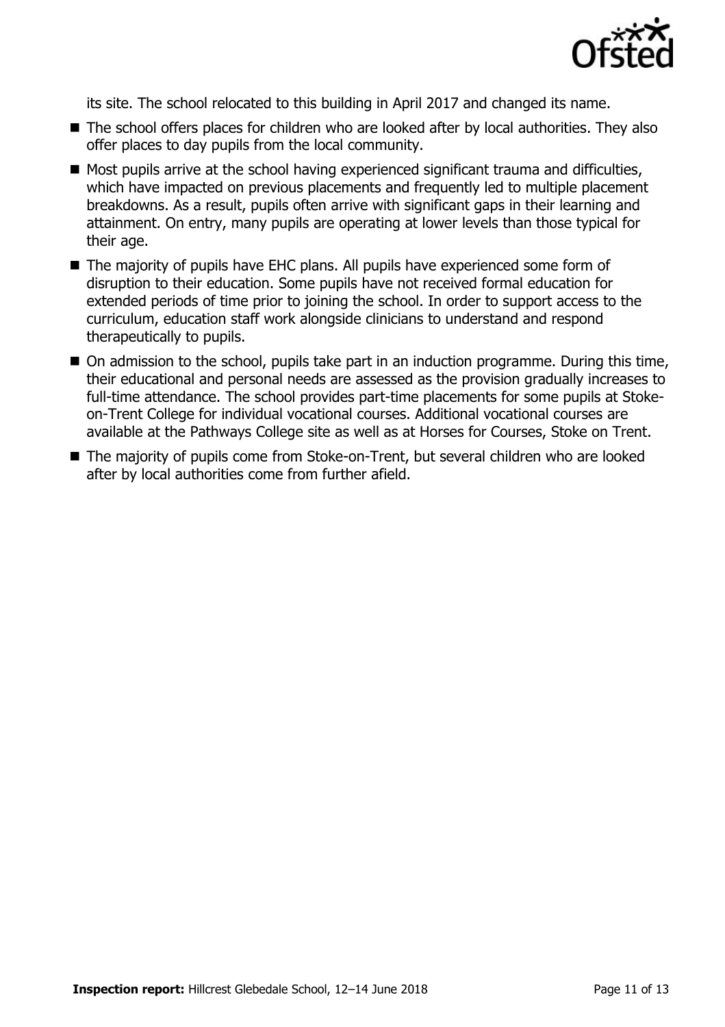

its site. The school relocated to this building in April 2017 and changed its name.

- The school offers places for children who are looked after by local authorities. They also offer places to day pupils from the local community.
- Most pupils arrive at the school having experienced significant trauma and difficulties, which have impacted on previous placements and frequently led to multiple placement breakdowns. As a result, pupils often arrive with significant gaps in their learning and attainment. On entry, many pupils are operating at lower levels than those typical for their age.
- The majority of pupils have EHC plans. All pupils have experienced some form of disruption to their education. Some pupils have not received formal education for extended periods of time prior to joining the school. In order to support access to the curriculum, education staff work alongside clinicians to understand and respond therapeutically to pupils.
- On admission to the school, pupils take part in an induction programme. During this time, their educational and personal needs are assessed as the provision gradually increases to full-time attendance. The school provides part-time placements for some pupils at Stokeon-Trent College for individual vocational courses. Additional vocational courses are available at the Pathways College site as well as at Horses for Courses, Stoke on Trent.
- The majority of pupils come from Stoke-on-Trent, but several children who are looked after by local authorities come from further afield.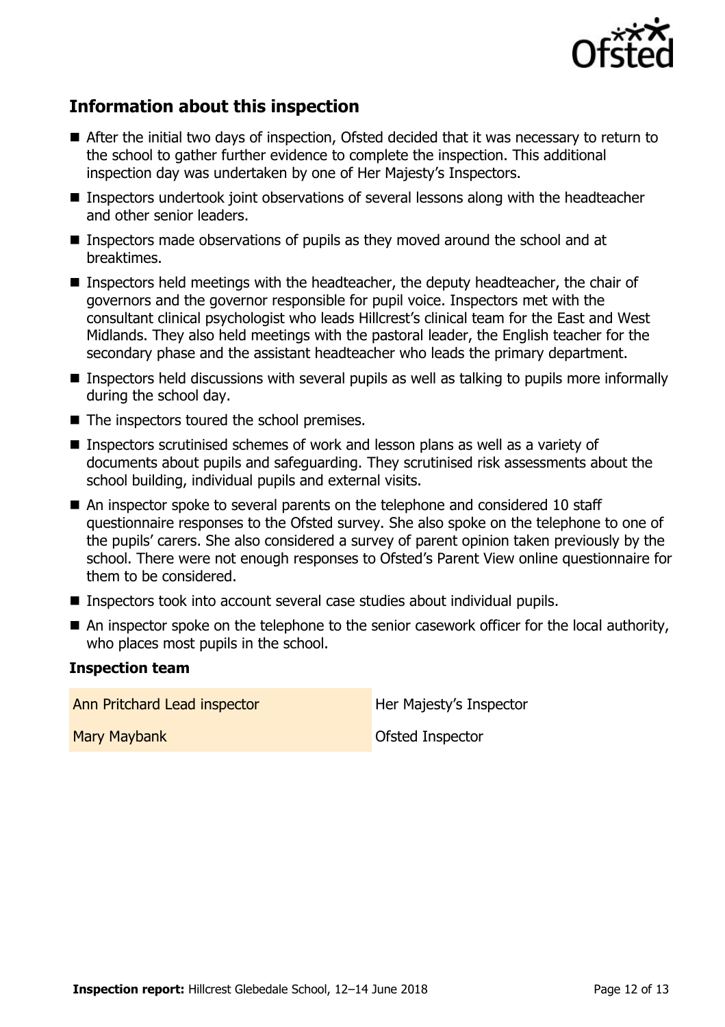

# **Information about this inspection**

- After the initial two days of inspection, Ofsted decided that it was necessary to return to the school to gather further evidence to complete the inspection. This additional inspection day was undertaken by one of Her Majesty's Inspectors.
- **Inspectors undertook joint observations of several lessons along with the headteacher** and other senior leaders.
- Inspectors made observations of pupils as they moved around the school and at breaktimes.
- Inspectors held meetings with the headteacher, the deputy headteacher, the chair of governors and the governor responsible for pupil voice. Inspectors met with the consultant clinical psychologist who leads Hillcrest's clinical team for the East and West Midlands. They also held meetings with the pastoral leader, the English teacher for the secondary phase and the assistant headteacher who leads the primary department.
- **Inspectors held discussions with several pupils as well as talking to pupils more informally** during the school day.
- The inspectors toured the school premises.
- **Inspectors scrutinised schemes of work and lesson plans as well as a variety of** documents about pupils and safeguarding. They scrutinised risk assessments about the school building, individual pupils and external visits.
- An inspector spoke to several parents on the telephone and considered 10 staff questionnaire responses to the Ofsted survey. She also spoke on the telephone to one of the pupils' carers. She also considered a survey of parent opinion taken previously by the school. There were not enough responses to Ofsted's Parent View online questionnaire for them to be considered.
- Inspectors took into account several case studies about individual pupils.
- An inspector spoke on the telephone to the senior casework officer for the local authority, who places most pupils in the school.

#### **Inspection team**

Ann Pritchard Lead inspector **Her Majesty's Inspector** 

Mary Maybank **Ofsted Inspector**